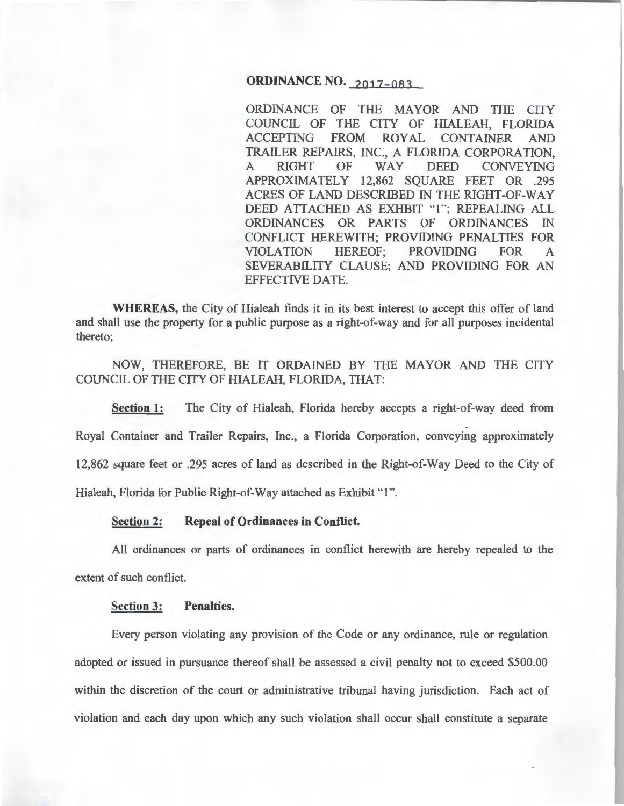## **ORDINANCE NO. 2017-083**

ORDINANCE OF THE MAYOR AND THE CITY COUNCIL OF THE CITY OF HIALEAH, FLORIDA ACCEPTING FROM ROYAL CONTAINER AND TRAILER REPAIRS, INC., A FLORIDA CORPORATION, A RIGHT OF WAY DEED CONVEYING APPROXIMATELY 12,862 SQUARE FEET OR .295 ACRES OF LAND DESCRIBED IN THE RIGHT-OF-WAY DEED ATTACHED AS EXHBIT "1"; REPEALING ALL ORDINANCES OR PARTS OF ORDINANCES IN CONFLICT HEREWITH; PROVIDING PENALTIES FOR VIOLATION HEREOF; PROVIDING FOR A SEVERABILITY CLAUSE; AND PROVIDING FOR AN EFFECTIVE DATE.

**WHEREAS,** the City of Hialeah finds it in its best interest to accept this offer of land and shall use the property for a public purpose as a right-of-way and for all purposes incidental thereto;

NOW, THEREFORE, BE IT ORDAINED BY THE MAYOR AND THE CITY COUNCIL OF THE CITY OF HIALEAH, FLORIDA, THAT:

**Section 1:** The City of Hialeah, Florida hereby accepts a right-of-way deed from - Royal Container and Trailer Repairs, Inc., a Florida Corporation, conveying approximately 12,862 square feet or .295 acres of land as described in the Right-of-Way Deed to the City of Hialeah, Florida for Public Right-of-Way attached as Exhibit "1".

**Section 2: Repeal of Ordinances in Conflict.** 

All ordinances or parts of ordinances in conflict herewith are hereby repealed to the extent of such conflict.

## **Section 3: Penalties.**

Every person violating any provision of the Code or any ordinance, rule or regulation adopted or issued in pursuance thereof shall be assessed a civil penalty not to exceed \$500.00 within the discretion of the court or administrative tribunal having jurisdiction. Each act of violation and each day upon which any such violation shall occur shall constitute a separate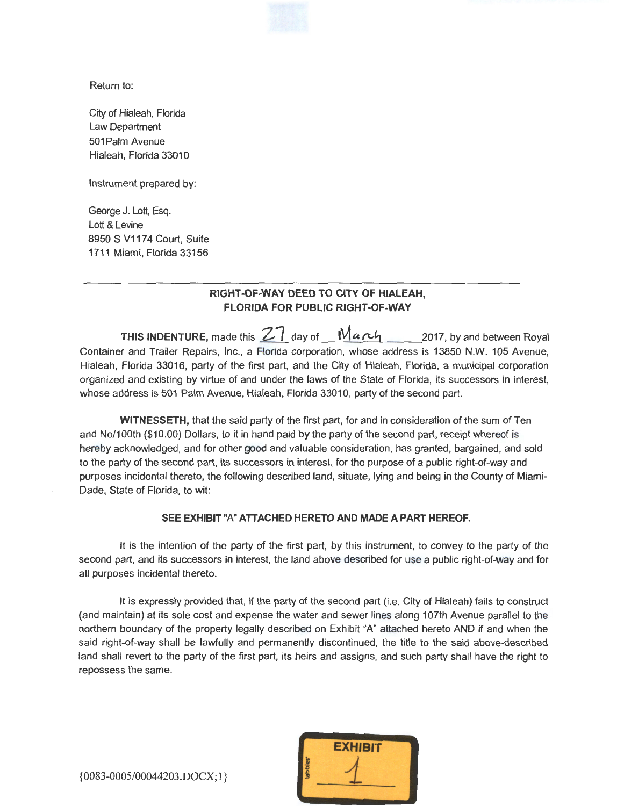Return to:

City of Hialeah, Florida Law Department 501 Palm Avenue Hialeah, Florida 33010

Instrument prepared by:

George J. Lott, Esq. Lott & Levine 8950 S V1174 Court, Suite 1711 Miami, Florida 33156

## **RIGHT-OF-WAY DEED TO CITY OF HIALEAH, FLORIDA FOR PUBLIC RIGHT-OF-WAY**

**THIS INDENTURE,** made this  $27$  day of  $Maxy$  2017, by and between Royal Container and Trailer Repairs, Inc., a Florida corporation, whose address is 13850 N.W. 105 Avenue, Hialeah, Florida 33016, party of the first part, and the City of Hialeah, Florida, a municipal corporation organized and existing by virtue of and under the laws of the State of Florida, its successors in interest, whose address is 501 Palm Avenue, Hialeah, Florida 33010, party of the second part.

**WITNESSETH,** that the said party of the first part, for and in consideration of the sum of Ten and No/100th (\$10.00) Dollars, to it in hand paid by the party of the second part, receipt whereof is hereby acknowledged, and for other good and valuable consideration, has granted, bargained, and sold to the party of the second part, its successors in interest, for the purpose of a public right-of-way and purposes incidental thereto, the following described land, situate, lying and being in the County of Miami-Dade, State of Florida, to wit:

#### **SEE EXHIBIT** "A" **ATTACHED HERETO AND MADE A PART HEREOF.**

It is the intention of the party of the first part, by this instrument, to convey to the party of the second part, and its successors in interest, the land above described for use a public right-of-way and for all purposes incidental thereto.

It is expressly provided that, if the party of the second part (i.e. City of Hialeah) fails to construct (and maintain) at its sole cost and expense the water and sewer lines along 1 07th Avenue parallel to the northern boundary of the property legally described on Exhibit "A" attached hereto AND if and when the said right-of-way shall be lawfully and permanently discontinued, the title to the said above-described land shall revert to the party of the first part, its heirs and assigns, and such party shall have the right to repossess the same.



{0083-0005/00044203.DOCX; 1} 1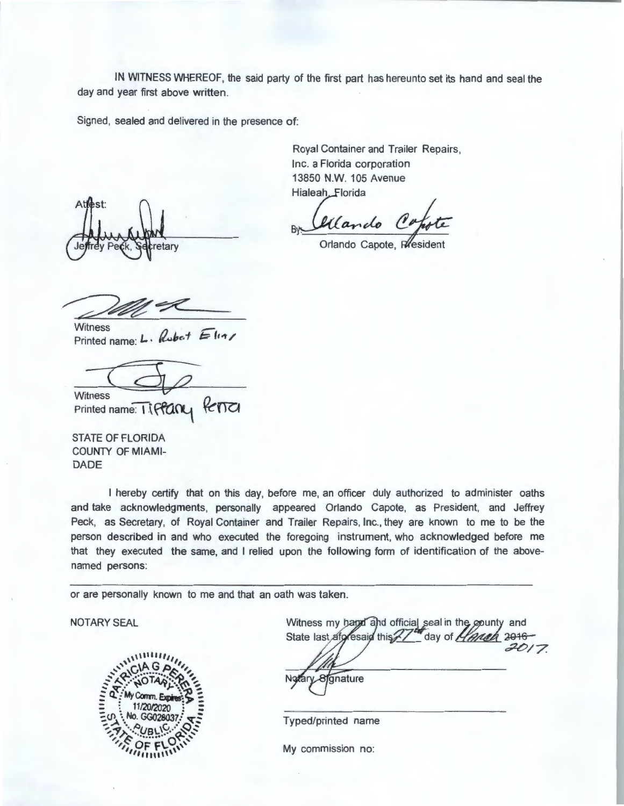IN WITNESS WHEREOF, the said party of the first part has hereunto set its hand and seal the day and year first above written.

Signed, sealed and delivered in the presence of:

**Atlest** etary

Royal Container and Trailer Repairs, Inc. a Florida corporation 13850 N.W. 105 Avenue

Hialeah Florida<br>By *Chlando* C.

Orlando Capote, Rfesident

Witness<br>Printed name: L. *Rubet* 

Witness<br>Printed name: T\ PPCING PCTCI

STATE OF FLORIDA COUNTY OF MIAMI-DADE

I hereby certify that on this day, before me, an officer duly authorized to administer oaths and take acknowledgments, personally appeared Orlando Capote, as President, and Jeffrey Peck, as Secretary, of Royal Container and Trailer Repairs, Inc., they are known to me to be the person described in and who executed the foregoing instrument, who acknowledged before me that they executed the same, and I relied upon the following form of identification of the abovenamed persons:

or are personally known to me and that an oath was taken.

NOTARY SEAL



and official seal in the county and hd official seal in the county and<br>this 27 day of *Hannel* 2016 *c?-t?/7* 

gnature Nat

Typed/printed name

My commission no: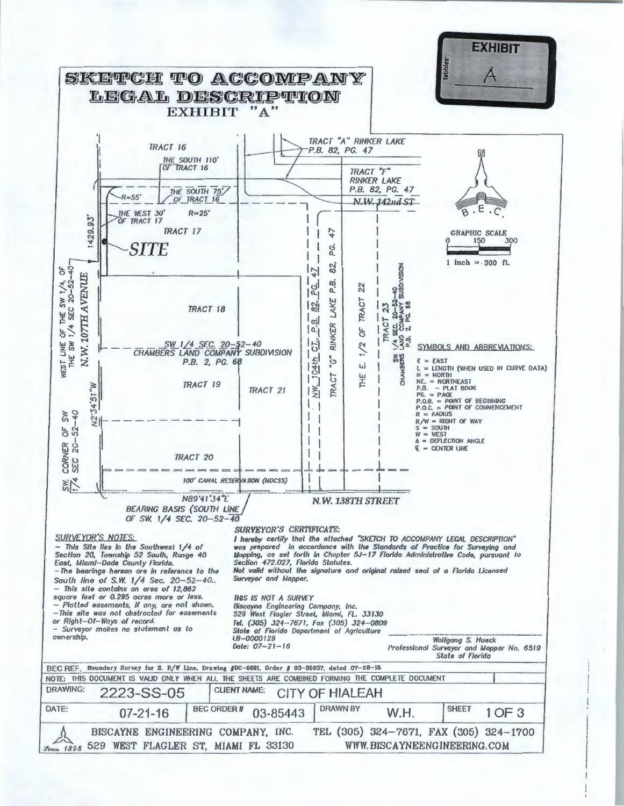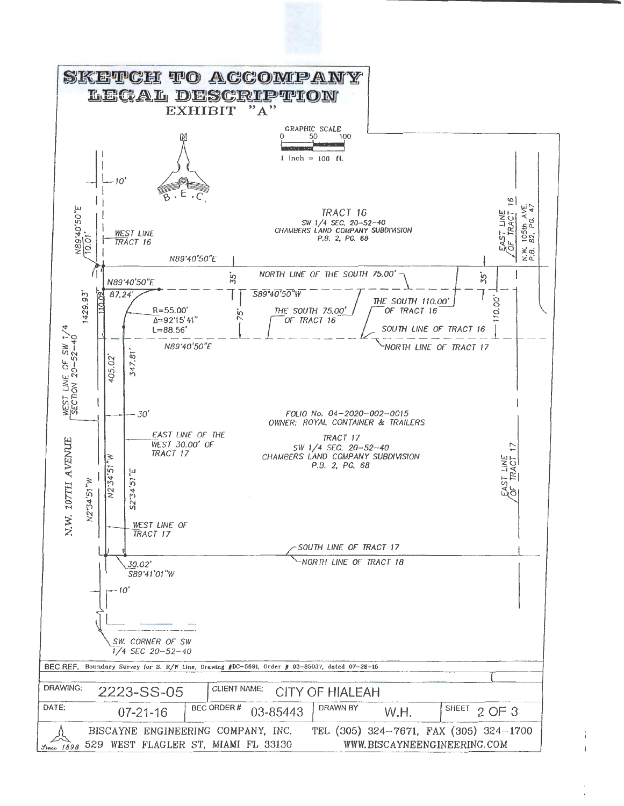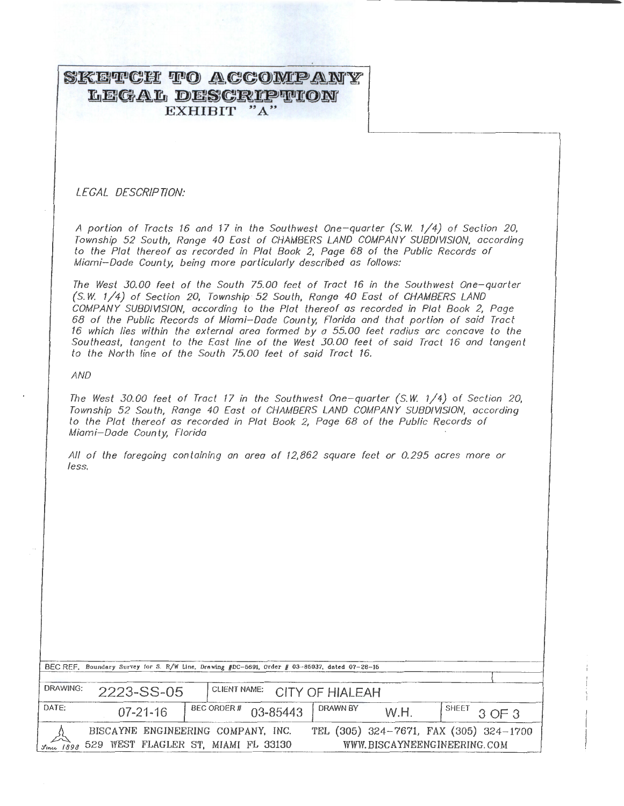# SKETCH TO ACCOMPANY LEGAL DESCRIPTION EXHIBIT "A"

LEGAL DESCRIPTION:

A portion of Tracts 16 and 17 in the Southwest One- quarter (S. *W.* 1/4) of Section 20, Township 52 South, Range 40 East of CHAMBERS LAND COMPANY SUBDIVISION, according to the Plot thereof as recorded in Plot Book 2, Page 68 of the Public Records of Miami-Dade County, being more particularly described as follows:

The West 30.00 feet of the South 75.00 feet of Tract 16 in the Southwest One-quarter (S. *W.* 1/4) of Section 20, Township · 52 South, Range 40 East of CHAMBERS LAND COMPANY SUBDIVISION, according to the Plot thereof as recorded in Plot Book 2, Page 68 of the Public Records of Miami-Dade County, Florida and that portion of said Tract 16 which lies within the external area formed by a 55.00 feet radius ore concave to the Southeast, tangent to the East line of the West 30.00 feet of said Tract 16 and tangent to the North line of the South 75.00 feet of said Tract 16.

AND

The West 30.00 feet of Tract 17 in the Southwest One-quarter (S.W. 1/4) of Section 20, Township 52 South, Range 40 East of CHAMBERS LAND COMPANY SUBDIVISION, according to the Plot thereof as recorded in Plot Book 2, Page 68 of the Public Records of Miami-Dade County, Florida

All of the foregoing containing on area of 12,862 square feet or 0.295 acres more or less.

| BEC REF. Boundary Survey for S. R/W Line, Drawing #DC-5691, Order # 03-86037, dated 07-28-16                                                                     |                                            |                      |          |      |                           |
|------------------------------------------------------------------------------------------------------------------------------------------------------------------|--------------------------------------------|----------------------|----------|------|---------------------------|
| DRAWING:                                                                                                                                                         | CLIENT NAME: CITY OF HIALEAH<br>2223-SS-05 |                      |          |      |                           |
| DATE:                                                                                                                                                            | $07 - 21 - 16$                             | BEC ORDER # 03-85443 | DRAWN BY | W.H. | $1^{\text{SHEET}}$ 3 OF 3 |
| TEL (305) 324-7671, FAX (305) 324-1700<br>BISCAYNE ENGINEERING COMPANY, INC.<br>529 WEST FLAGLER ST, MIAMI FL 33130<br>WWW.BISCAYNEENGINEERING.COM<br>Since 1898 |                                            |                      |          |      |                           |